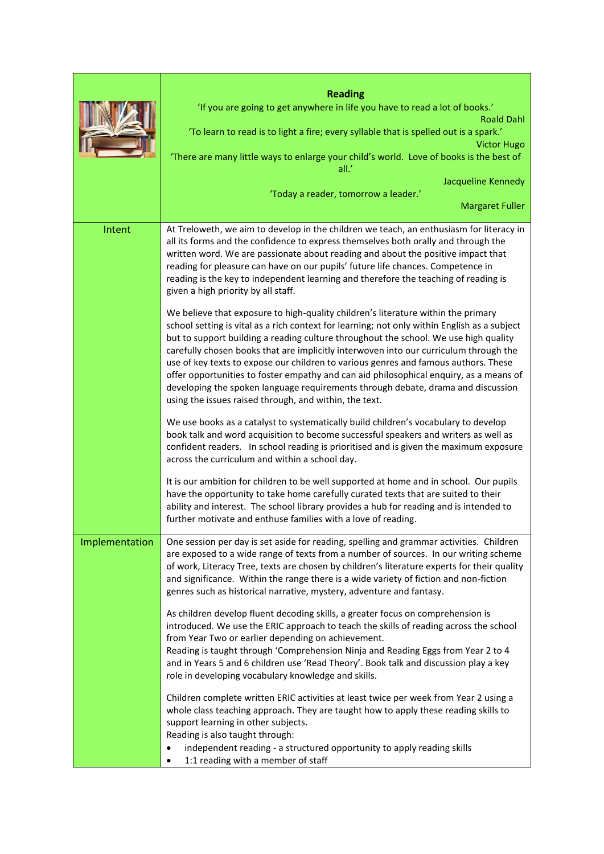|                | <b>Reading</b>                                                                                                                                                                                                                                                                                                                                                                                                                                                                                                                                                                                                                                                                                    |
|----------------|---------------------------------------------------------------------------------------------------------------------------------------------------------------------------------------------------------------------------------------------------------------------------------------------------------------------------------------------------------------------------------------------------------------------------------------------------------------------------------------------------------------------------------------------------------------------------------------------------------------------------------------------------------------------------------------------------|
|                | 'If you are going to get anywhere in life you have to read a lot of books.'<br><b>Roald Dahl</b>                                                                                                                                                                                                                                                                                                                                                                                                                                                                                                                                                                                                  |
|                | 'To learn to read is to light a fire; every syllable that is spelled out is a spark.'<br><b>Victor Hugo</b>                                                                                                                                                                                                                                                                                                                                                                                                                                                                                                                                                                                       |
|                | 'There are many little ways to enlarge your child's world. Love of books is the best of<br>all.'                                                                                                                                                                                                                                                                                                                                                                                                                                                                                                                                                                                                  |
|                | Jacqueline Kennedy                                                                                                                                                                                                                                                                                                                                                                                                                                                                                                                                                                                                                                                                                |
|                | 'Today a reader, tomorrow a leader.'<br><b>Margaret Fuller</b>                                                                                                                                                                                                                                                                                                                                                                                                                                                                                                                                                                                                                                    |
|                |                                                                                                                                                                                                                                                                                                                                                                                                                                                                                                                                                                                                                                                                                                   |
| Intent         | At Treloweth, we aim to develop in the children we teach, an enthusiasm for literacy in<br>all its forms and the confidence to express themselves both orally and through the<br>written word. We are passionate about reading and about the positive impact that<br>reading for pleasure can have on our pupils' future life chances. Competence in<br>reading is the key to independent learning and therefore the teaching of reading is<br>given a high priority by all staff.                                                                                                                                                                                                                |
|                | We believe that exposure to high-quality children's literature within the primary<br>school setting is vital as a rich context for learning; not only within English as a subject<br>but to support building a reading culture throughout the school. We use high quality<br>carefully chosen books that are implicitly interwoven into our curriculum through the<br>use of key texts to expose our children to various genres and famous authors. These<br>offer opportunities to foster empathy and can aid philosophical enquiry, as a means of<br>developing the spoken language requirements through debate, drama and discussion<br>using the issues raised through, and within, the text. |
|                | We use books as a catalyst to systematically build children's vocabulary to develop<br>book talk and word acquisition to become successful speakers and writers as well as<br>confident readers. In school reading is prioritised and is given the maximum exposure<br>across the curriculum and within a school day.                                                                                                                                                                                                                                                                                                                                                                             |
|                | It is our ambition for children to be well supported at home and in school. Our pupils<br>have the opportunity to take home carefully curated texts that are suited to their<br>ability and interest. The school library provides a hub for reading and is intended to<br>further motivate and enthuse families with a love of reading.                                                                                                                                                                                                                                                                                                                                                           |
| Implementation | One session per day is set aside for reading, spelling and grammar activities. Children<br>are exposed to a wide range of texts from a number of sources. In our writing scheme<br>of work, Literacy Tree, texts are chosen by children's literature experts for their quality<br>and significance. Within the range there is a wide variety of fiction and non-fiction<br>genres such as historical narrative, mystery, adventure and fantasy.                                                                                                                                                                                                                                                   |
|                | As children develop fluent decoding skills, a greater focus on comprehension is<br>introduced. We use the ERIC approach to teach the skills of reading across the school<br>from Year Two or earlier depending on achievement.<br>Reading is taught through 'Comprehension Ninja and Reading Eggs from Year 2 to 4<br>and in Years 5 and 6 children use 'Read Theory'. Book talk and discussion play a key<br>role in developing vocabulary knowledge and skills.                                                                                                                                                                                                                                 |
|                | Children complete written ERIC activities at least twice per week from Year 2 using a<br>whole class teaching approach. They are taught how to apply these reading skills to<br>support learning in other subjects.<br>Reading is also taught through:<br>independent reading - a structured opportunity to apply reading skills                                                                                                                                                                                                                                                                                                                                                                  |
|                | 1:1 reading with a member of staff                                                                                                                                                                                                                                                                                                                                                                                                                                                                                                                                                                                                                                                                |